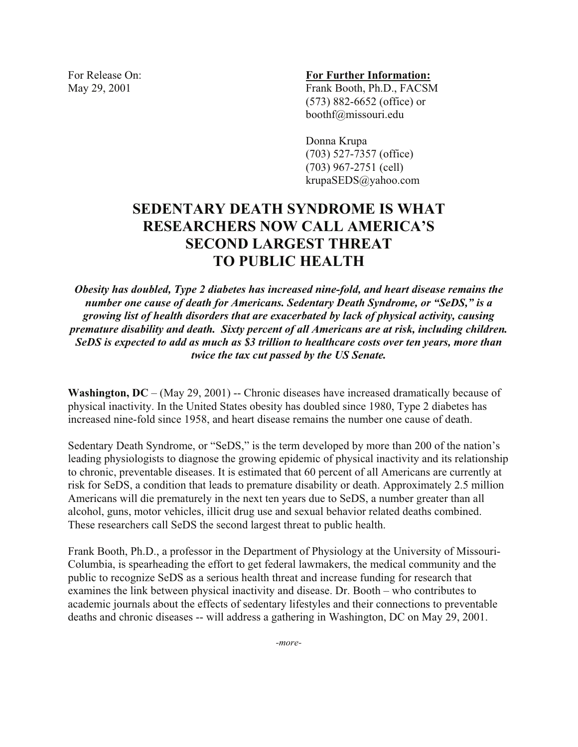#### For Release On: **For Further Information:**

May 29, 2001 Frank Booth, Ph.D., FACSM (573) 882-6652 (office) or boothf@missouri.edu

> Donna Krupa (703) 527-7357 (office) (703) 967-2751 (cell) krupaSEDS@yahoo.com

# **SEDENTARY DEATH SYNDROME IS WHAT RESEARCHERS NOW CALL AMERICA'S SECOND LARGEST THREAT TO PUBLIC HEALTH**

*Obesity has doubled, Type 2 diabetes has increased nine-fold, and heart disease remains the number one cause of death for Americans. Sedentary Death Syndrome, or "SeDS," is a growing list of health disorders that are exacerbated by lack of physical activity, causing premature disability and death. Sixty percent of all Americans are at risk, including children. SeDS is expected to add as much as \$3 trillion to healthcare costs over ten years, more than twice the tax cut passed by the US Senate.* 

**Washington, DC** – (May 29, 2001) -- Chronic diseases have increased dramatically because of physical inactivity. In the United States obesity has doubled since 1980, Type 2 diabetes has increased nine-fold since 1958, and heart disease remains the number one cause of death.

Sedentary Death Syndrome, or "SeDS," is the term developed by more than 200 of the nation's leading physiologists to diagnose the growing epidemic of physical inactivity and its relationship to chronic, preventable diseases. It is estimated that 60 percent of all Americans are currently at risk for SeDS, a condition that leads to premature disability or death. Approximately 2.5 million Americans will die prematurely in the next ten years due to SeDS, a number greater than all alcohol, guns, motor vehicles, illicit drug use and sexual behavior related deaths combined. These researchers call SeDS the second largest threat to public health.

Frank Booth, Ph.D., a professor in the Department of Physiology at the University of Missouri-Columbia, is spearheading the effort to get federal lawmakers, the medical community and the public to recognize SeDS as a serious health threat and increase funding for research that examines the link between physical inactivity and disease. Dr. Booth – who contributes to academic journals about the effects of sedentary lifestyles and their connections to preventable deaths and chronic diseases -- will address a gathering in Washington, DC on May 29, 2001.

*-more-*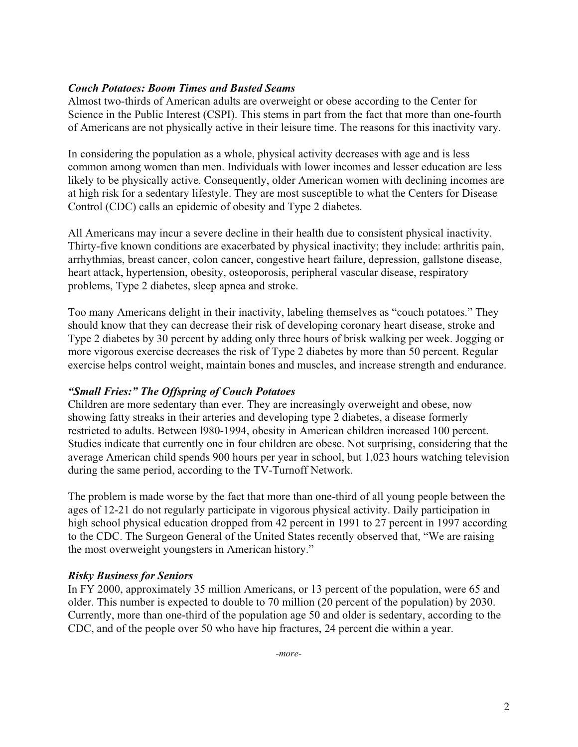## *Couch Potatoes: Boom Times and Busted Seams*

Almost two-thirds of American adults are overweight or obese according to the Center for Science in the Public Interest (CSPI). This stems in part from the fact that more than one-fourth of Americans are not physically active in their leisure time. The reasons for this inactivity vary.

In considering the population as a whole, physical activity decreases with age and is less common among women than men. Individuals with lower incomes and lesser education are less likely to be physically active. Consequently, older American women with declining incomes are at high risk for a sedentary lifestyle. They are most susceptible to what the Centers for Disease Control (CDC) calls an epidemic of obesity and Type 2 diabetes.

All Americans may incur a severe decline in their health due to consistent physical inactivity. Thirty-five known conditions are exacerbated by physical inactivity; they include: arthritis pain, arrhythmias, breast cancer, colon cancer, congestive heart failure, depression, gallstone disease, heart attack, hypertension, obesity, osteoporosis, peripheral vascular disease, respiratory problems, Type 2 diabetes, sleep apnea and stroke.

Too many Americans delight in their inactivity, labeling themselves as "couch potatoes." They should know that they can decrease their risk of developing coronary heart disease, stroke and Type 2 diabetes by 30 percent by adding only three hours of brisk walking per week. Jogging or more vigorous exercise decreases the risk of Type 2 diabetes by more than 50 percent. Regular exercise helps control weight, maintain bones and muscles, and increase strength and endurance.

## *"Small Fries:" The Offspring of Couch Potatoes*

Children are more sedentary than ever. They are increasingly overweight and obese, now showing fatty streaks in their arteries and developing type 2 diabetes, a disease formerly restricted to adults. Between l980-1994, obesity in American children increased 100 percent. Studies indicate that currently one in four children are obese. Not surprising, considering that the average American child spends 900 hours per year in school, but 1,023 hours watching television during the same period, according to the TV-Turnoff Network.

The problem is made worse by the fact that more than one-third of all young people between the ages of 12-21 do not regularly participate in vigorous physical activity. Daily participation in high school physical education dropped from 42 percent in 1991 to 27 percent in 1997 according to the CDC. The Surgeon General of the United States recently observed that, "We are raising the most overweight youngsters in American history."

### *Risky Business for Seniors*

In FY 2000, approximately 35 million Americans, or 13 percent of the population, were 65 and older. This number is expected to double to 70 million (20 percent of the population) by 2030. Currently, more than one-third of the population age 50 and older is sedentary, according to the CDC, and of the people over 50 who have hip fractures, 24 percent die within a year.

*-more-*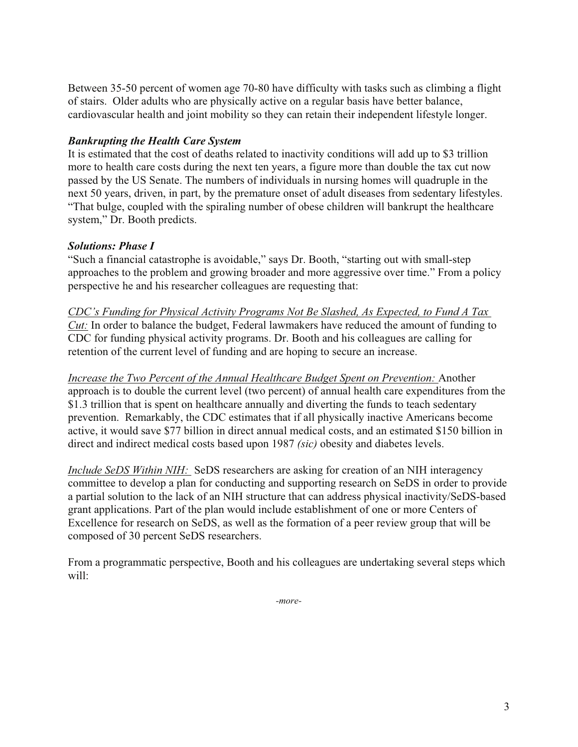Between 35-50 percent of women age 70-80 have difficulty with tasks such as climbing a flight of stairs. Older adults who are physically active on a regular basis have better balance, cardiovascular health and joint mobility so they can retain their independent lifestyle longer.

## *Bankrupting the Health Care System*

It is estimated that the cost of deaths related to inactivity conditions will add up to \$3 trillion more to health care costs during the next ten years, a figure more than double the tax cut now passed by the US Senate. The numbers of individuals in nursing homes will quadruple in the next 50 years, driven, in part, by the premature onset of adult diseases from sedentary lifestyles. "That bulge, coupled with the spiraling number of obese children will bankrupt the healthcare system," Dr. Booth predicts.

## *Solutions: Phase I*

"Such a financial catastrophe is avoidable," says Dr. Booth, "starting out with small-step approaches to the problem and growing broader and more aggressive over time." From a policy perspective he and his researcher colleagues are requesting that:

*CDC's Funding for Physical Activity Programs Not Be Slashed, As Expected, to Fund A Tax Cut:* In order to balance the budget, Federal lawmakers have reduced the amount of funding to CDC for funding physical activity programs. Dr. Booth and his colleagues are calling for retention of the current level of funding and are hoping to secure an increase.

*Increase the Two Percent of the Annual Healthcare Budget Spent on Prevention:* Another approach is to double the current level (two percent) of annual health care expenditures from the \$1.3 trillion that is spent on healthcare annually and diverting the funds to teach sedentary prevention. Remarkably, the CDC estimates that if all physically inactive Americans become active, it would save \$77 billion in direct annual medical costs, and an estimated \$150 billion in direct and indirect medical costs based upon 1987 *(sic)* obesity and diabetes levels.

*Include SeDS Within NIH:* SeDS researchers are asking for creation of an NIH interagency committee to develop a plan for conducting and supporting research on SeDS in order to provide a partial solution to the lack of an NIH structure that can address physical inactivity/SeDS-based grant applications. Part of the plan would include establishment of one or more Centers of Excellence for research on SeDS, as well as the formation of a peer review group that will be composed of 30 percent SeDS researchers.

From a programmatic perspective, Booth and his colleagues are undertaking several steps which will:

*-more-*